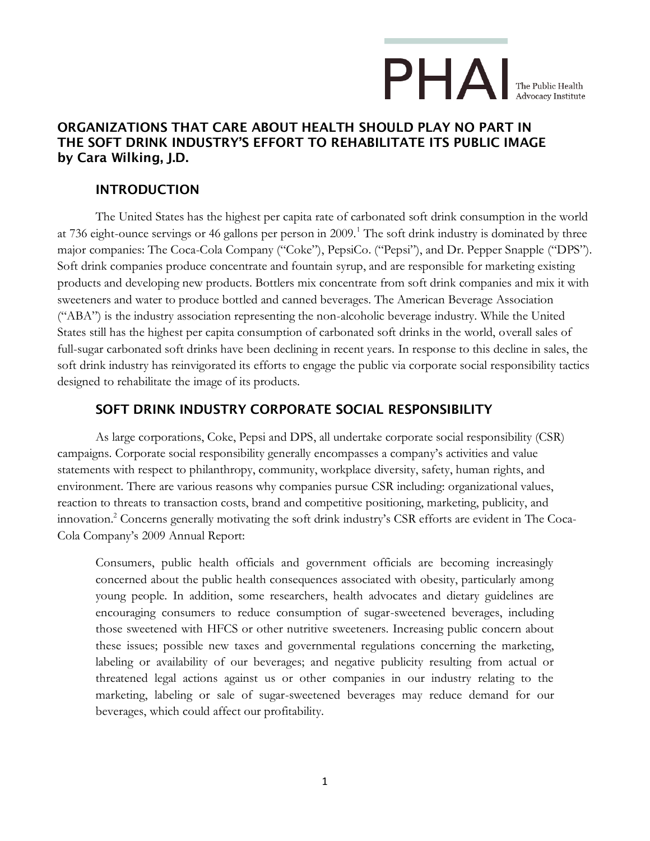## $\mathsf{P}\mathsf{H}\mathsf{\Delta}\mathsf{I}_{\tiny{\textsf{The Public Health}}}$

### **ORGANIZATIONS THAT CARE ABOUT HEALTH SHOULD PLAY NO PART IN THE SOFT DRINK INDUSTRY'S EFFORT TO REHABILITATE ITS PUBLIC IMAGE by Cara Wilking, J.D.**

### **INTRODUCTION**

The United States has the highest per capita rate of carbonated soft drink consumption in the world at 736 eight-ounce servings or 46 gallons per person in 2009.<sup>1</sup> The soft drink industry is dominated by three major companies: The Coca-Cola Company ("Coke"), PepsiCo. ("Pepsi"), and Dr. Pepper Snapple ("DPS"). Soft drink companies produce concentrate and fountain syrup, and are responsible for marketing existing products and developing new products. Bottlers mix concentrate from soft drink companies and mix it with sweeteners and water to produce bottled and canned beverages. The American Beverage Association ("ABA") is the industry association representing the non-alcoholic beverage industry. While the United States still has the highest per capita consumption of carbonated soft drinks in the world, overall sales of full-sugar carbonated soft drinks have been declining in recent years. In response to this decline in sales, the soft drink industry has reinvigorated its efforts to engage the public via corporate social responsibility tactics designed to rehabilitate the image of its products.

### **SOFT DRINK INDUSTRY CORPORATE SOCIAL RESPONSIBILITY**

As large corporations, Coke, Pepsi and DPS, all undertake corporate social responsibility (CSR) campaigns. Corporate social responsibility generally encompasses a company's activities and value statements with respect to philanthropy, community, workplace diversity, safety, human rights, and environment. There are various reasons why companies pursue CSR including: organizational values, reaction to threats to transaction costs, brand and competitive positioning, marketing, publicity, and innovation.<sup>2</sup> Concerns generally motivating the soft drink industry's CSR efforts are evident in The Coca-Cola Company's 2009 Annual Report:

Consumers, public health officials and government officials are becoming increasingly concerned about the public health consequences associated with obesity, particularly among young people. In addition, some researchers, health advocates and dietary guidelines are encouraging consumers to reduce consumption of sugar-sweetened beverages, including those sweetened with HFCS or other nutritive sweeteners. Increasing public concern about these issues; possible new taxes and governmental regulations concerning the marketing, labeling or availability of our beverages; and negative publicity resulting from actual or threatened legal actions against us or other companies in our industry relating to the marketing, labeling or sale of sugar-sweetened beverages may reduce demand for our beverages, which could affect our profitability.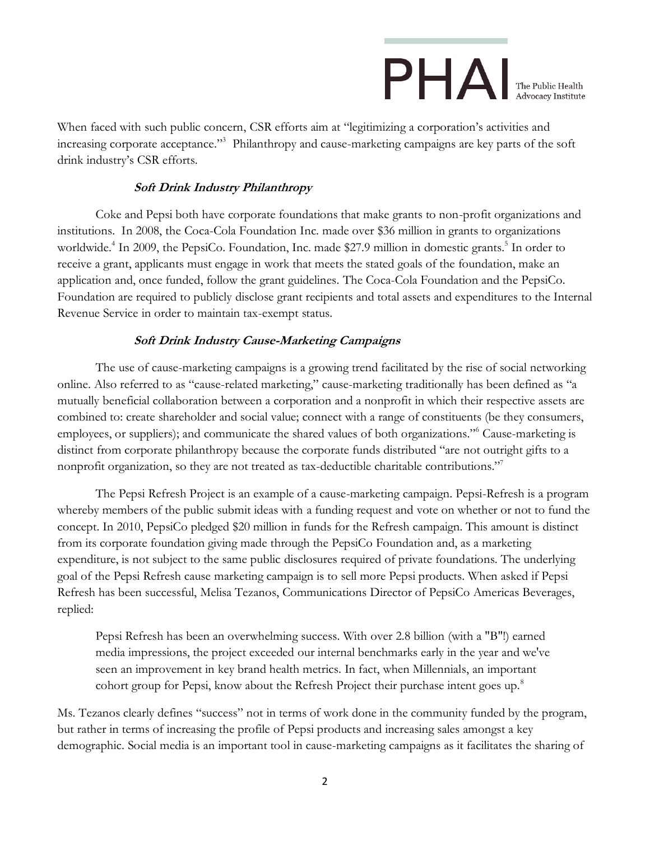# $\mathsf{P}\mathsf{H}\mathsf{A}\mathsf{I}_{\scriptscriptstyle{\text{The Public Health}\atop \text{Adycocev. Intitute}}}$

When faced with such public concern, CSR efforts aim at "legitimizing a corporation's activities and increasing corporate acceptance."<sup>3</sup> Philanthropy and cause-marketing campaigns are key parts of the soft drink industry's CSR efforts.

### **Soft Drink Industry Philanthropy**

Coke and Pepsi both have corporate foundations that make grants to non-profit organizations and institutions. In 2008, the Coca-Cola Foundation Inc. made over \$36 million in grants to organizations worldwide.<sup>4</sup> In 2009, the PepsiCo. Foundation, Inc. made \$27.9 million in domestic grants.<sup>5</sup> In order to receive a grant, applicants must engage in work that meets the stated goals of the foundation, make an application and, once funded, follow the grant guidelines. The Coca-Cola Foundation and the PepsiCo. Foundation are required to publicly disclose grant recipients and total assets and expenditures to the Internal Revenue Service in order to maintain tax-exempt status.

### **Soft Drink Industry Cause-Marketing Campaigns**

The use of cause-marketing campaigns is a growing trend facilitated by the rise of social networking online. Also referred to as "cause-related marketing," cause-marketing traditionally has been defined as "a mutually beneficial collaboration between a corporation and a nonprofit in which their respective assets are combined to: create shareholder and social value; connect with a range of constituents (be they consumers, employees, or suppliers); and communicate the shared values of both organizations."<sup>6</sup> Cause-marketing is distinct from corporate philanthropy because the corporate funds distributed "are not outright gifts to a nonprofit organization, so they are not treated as tax-deductible charitable contributions."<sup>7</sup>

The Pepsi Refresh Project is an example of a cause-marketing campaign. Pepsi-Refresh is a program whereby members of the public submit ideas with a funding request and vote on whether or not to fund the concept. In 2010, PepsiCo pledged \$20 million in funds for the Refresh campaign. This amount is distinct from its corporate foundation giving made through the PepsiCo Foundation and, as a marketing expenditure, is not subject to the same public disclosures required of private foundations. The underlying goal of the Pepsi Refresh cause marketing campaign is to sell more Pepsi products. When asked if Pepsi Refresh has been successful, Melisa Tezanos, Communications Director of PepsiCo Americas Beverages, replied:

Pepsi Refresh has been an overwhelming success. With over 2.8 billion (with a "B"!) earned media impressions, the project exceeded our internal benchmarks early in the year and we've seen an improvement in key brand health metrics. In fact, when Millennials, an important cohort group for Pepsi, know about the Refresh Project their purchase intent goes up.<sup>8</sup>

Ms. Tezanos clearly defines "success" not in terms of work done in the community funded by the program, but rather in terms of increasing the profile of Pepsi products and increasing sales amongst a key demographic. Social media is an important tool in cause-marketing campaigns as it facilitates the sharing of